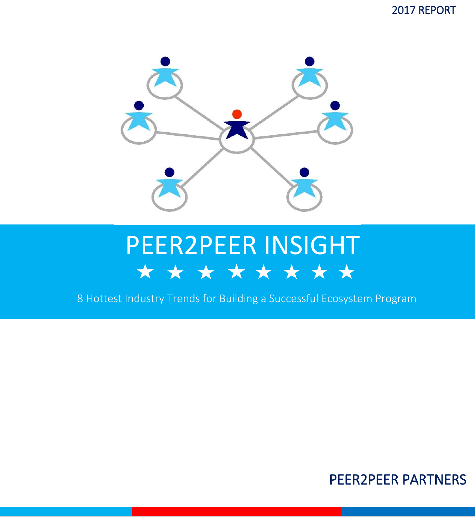2017 REPORT



### PEER2PEER INSIGHT \* \* \* \* \* \* \* \* \*

8 Hottest Industry Trends for Building a Successful Ecosystem Program

#### PEER2PEER PARTNERS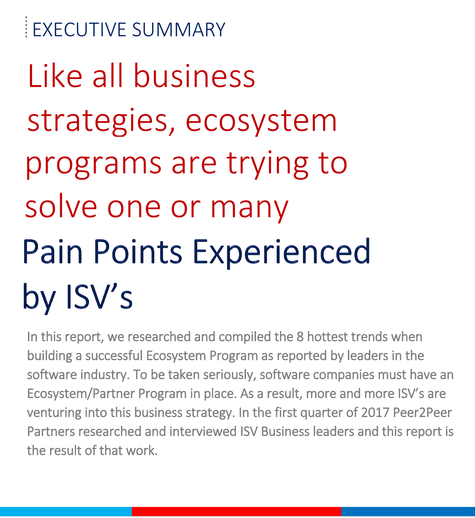EXECUTIVE SUMMARY Like all business strategies, ecosystem programs are trying to solve one or many Pain Points Experienced by ISV's

In this report, we researched and compiled the 8 hottest trends when building a successful Ecosystem Program as reported by leaders in the software industry. To be taken seriously, software companies must have an Ecosystem/Partner Program in place. As a result, more and more ISV's are venturing into this business strategy. In the first quarter of 2017 Peer2Peer Partners researched and interviewed ISV Business leaders and this report is the result of that work.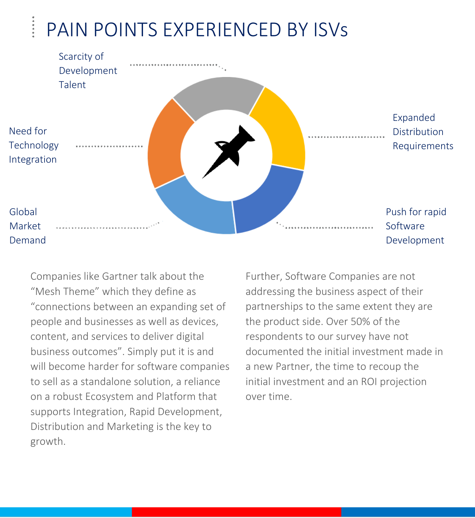### PAIN POINTS EXPERIENCED BY ISVs

|                                       | Scarcity of<br>Development |  |                                          |
|---------------------------------------|----------------------------|--|------------------------------------------|
|                                       | Talent                     |  |                                          |
| Need for<br>Technology<br>Integration |                            |  | Expanded<br>Distribution<br>Requirements |
| Global<br>Market                      |                            |  | Push for rapid<br>Software               |
| Demand                                |                            |  | Development                              |

Companies like Gartner talk about the "Mesh Theme" which they define as "connections between an expanding set of people and businesses as well as devices, content, and services to deliver digital business outcomes". Simply put it is and will become harder for software companies to sell as a standalone solution, a reliance on a robust Ecosystem and Platform that supports Integration, Rapid Development, Distribution and Marketing is the key to growth.

Further, Software Companies are not addressing the business aspect of their partnerships to the same extent they are the product side. Over 50% of the respondents to our survey have not documented the initial investment made in a new Partner, the time to recoup the initial investment and an ROI projection over time.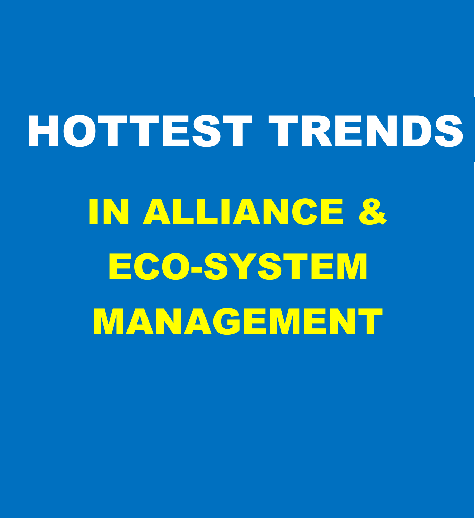# HOTTEST TRENDS IN ALLIANCE & ECO-SYSTEM MANAGEMENT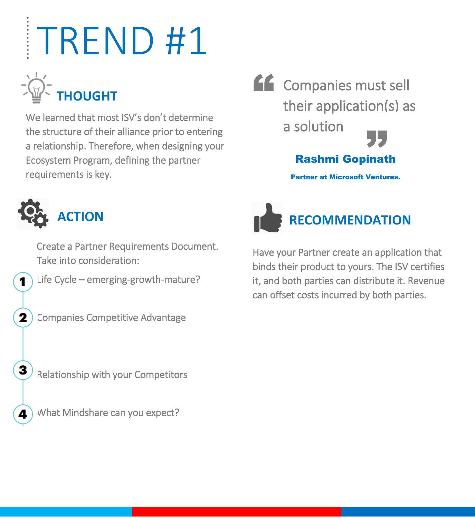

We learned that most ISV's don't determine the structure of their alliance prior to entering a relationship. Therefore, when designing your Ecosystem Program, defining the partner requirements is key.





1

2

3

Create a Partner Requirements Document. Take into consideration:

Life Cycle – emerging-growth-mature?

Companies Competitive Advantage

**RECOMMENDATION**

Have your Partner create an application that binds their product to yours. The ISV certifies it, and both parties can distribute it. Revenue can offset costs incurred by both parties.

Relationship with your Competitors

What Mindshare can you expect?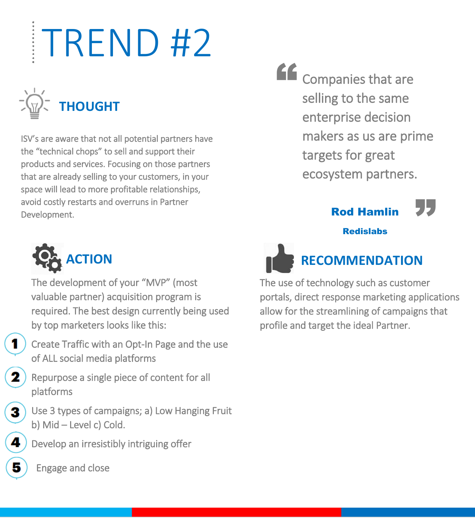

ISV's are aware that not all potential partners have the "technical chops" to sell and support their products and services. Focusing on those partners that are already selling to your customers, in your space will lead to more profitable relationships, avoid costly restarts and overruns in Partner Development.



The development of your "MVP" (most valuable partner) acquisition program is required. The best design currently being used by top marketers looks like this:

Create Traffic with an Opt-In Page and the use of ALL social media platforms

- Repurpose a single piece of content for all platforms
- Use 3 types of campaigns; a) Low Hanging Fruit b) Mid – Level c) Cold.

Develop an irresistibly intriguing offer

Engage and close



3

" Companies that are selling to the same enterprise decision makers as us are prime targets for great ecosystem partners.

#### Rod Hamlin

"<br>"<br>"

#### **Redislabs**



The use of technology such as customer portals, direct response marketing applications allow for the streamlining of campaigns that profile and target the ideal Partner.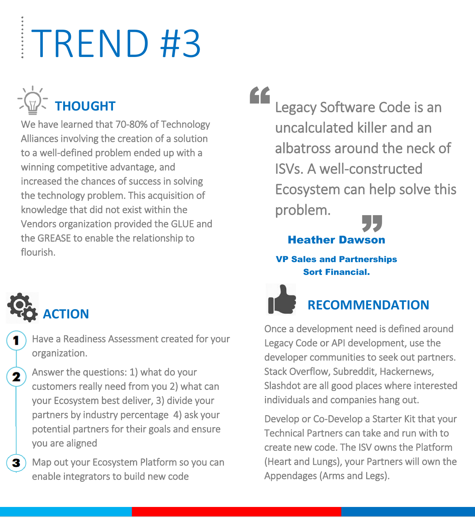

We have learned that 70-80% of Technology Alliances involving the creation of a solution to a well-defined problem ended up with a winning competitive advantage, and increased the chances of success in solving the technology problem. This acquisition of knowledge that did not exist within the Vendors organization provided the GLUE and the GREASE to enable the relationship to flourish.

**ACTION**

1

 $\mathbf{2}$ 

3

Have a Readiness Assessment created for your organization.

Answer the questions: 1) what do your customers really need from you 2) what can your Ecosystem best deliver, 3) divide your partners by industry percentage 4) ask your potential partners for their goals and ensure you are aligned

Map out your Ecosystem Platform so you can enable integrators to build new code

EE Legacy Software Code is an uncalculated killer and an albatross around the neck of ISVs. A well-constructed Ecosystem can help solve this problem.



#### VP Sales and Partnerships Sort Financial.



#### **RECOMMENDATION**

Once a development need is defined around Legacy Code or API development, use the developer communities to seek out partners. Stack Overflow, Subreddit, Hackernews, Slashdot are all good places where interested individuals and companies hang out.

Develop or Co-Develop a Starter Kit that your Technical Partners can take and run with to create new code. The ISV owns the Platform (Heart and Lungs), your Partners will own the Appendages (Arms and Legs).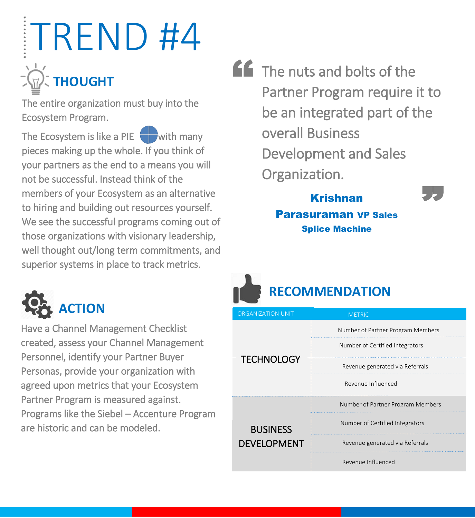## TREND #4 **THOUGHT**

The entire organization must buy into the Ecosystem Program.

The Ecosystem is like a PIE  $\Box$  with many pieces making up the whole. If you think of your partners as the end to a means you will not be successful. Instead think of the members of your Ecosystem as an alternative to hiring and building out resources yourself. We see the successful programs coming out of those organizations with visionary leadership, well thought out/long term commitments, and superior systems in place to track metrics.



Have a Channel Management Checklist created, assess your Channel Management Personnel, identify your Partner Buyer Personas, provide your organization with agreed upon metrics that your Ecosystem Partner Program is measured against. Programs like the Siebel – Accenture Program are historic and can be modeled.

" The nuts and bolts of the Partner Program require it to be an integrated part of the overall Business Development and Sales Organization. **"** 

#### Krishnan Parasuraman VP Sales Splice Machine



| <b>ORGANIZATION UNIT</b> | <b>METRIC</b>                     |  |
|--------------------------|-----------------------------------|--|
|                          | Number of Partner Program Members |  |
|                          | Number of Certified Integrators   |  |
| <b>TECHNOLOGY</b>        | Revenue generated via Referrals   |  |
|                          | Revenue Influenced                |  |
|                          | Number of Partner Program Members |  |
| <b>BUSINESS</b>          | Number of Certified Integrators   |  |
| <b>DEVELOPMENT</b>       | Revenue generated via Referrals   |  |
|                          | Revenue Influenced                |  |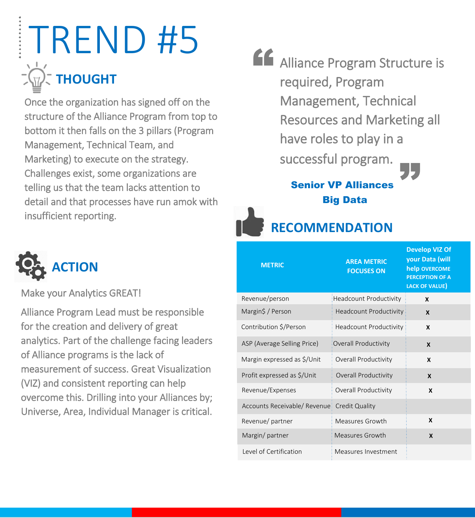## **THOUGHT** TREND #5

Once the organization has signed off on the structure of the Alliance Program from top to bottom it then falls on the 3 pillars (Program Management, Technical Team, and Marketing) to execute on the strategy. Challenges exist, some organizations are telling us that the team lacks attention to detail and that processes have run amok with insufficient reporting.



Senior VP Alliances Big Data

**RECOMMENDATION**



#### Make your Analytics GREAT!

Alliance Program Lead must be responsible for the creation and delivery of great analytics. Part of the challenge facing leaders of Alliance programs is the lack of measurement of success. Great Visualization (VIZ) and consistent reporting can help overcome this. Drilling into your Alliances by; Universe, Area, Individual Manager is critical.

| <b>METRIC</b>                | <b>AREA METRIC</b><br><b>FOCUSES ON</b> | <b>Develop VIZ Of</b><br>your Data (will<br>help OVERCOME<br><b>PERCEPTION OF A</b><br><b>LACK OF VALUE)</b> |
|------------------------------|-----------------------------------------|--------------------------------------------------------------------------------------------------------------|
| Revenue/person               | <b>Headcount Productivity</b>           | $\boldsymbol{x}$                                                                                             |
| Margin\$ / Person            | <b>Headcount Productivity</b>           | $\boldsymbol{\mathsf{X}}$                                                                                    |
| Contribution \$/Person       | <b>Headcount Productivity</b>           | X                                                                                                            |
| ASP (Average Selling Price)  | Overall Productivity                    | $\boldsymbol{x}$                                                                                             |
| Margin expressed as \$/Unit  | Overall Productivity                    | X                                                                                                            |
| Profit expressed as \$/Unit  | Overall Productivity                    | $\boldsymbol{x}$                                                                                             |
| Revenue/Expenses             | Overall Productivity                    | $\boldsymbol{x}$                                                                                             |
| Accounts Receivable/ Revenue | <b>Credit Quality</b>                   |                                                                                                              |
| Revenue/partner              | Measures Growth                         | X                                                                                                            |
| Margin/partner               | Measures Growth                         | X                                                                                                            |
| Level of Certification       | Measures Investment                     |                                                                                                              |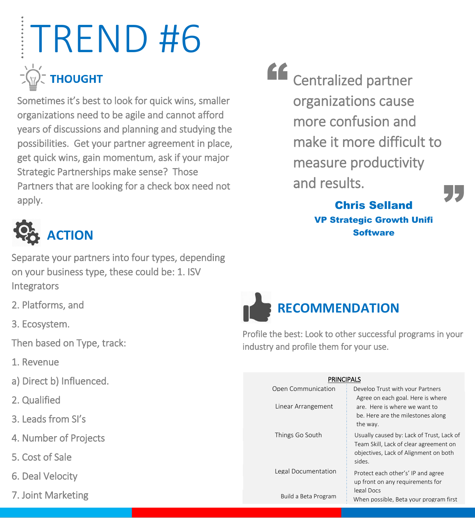## TREND #6 **THOUGHT**

Sometimes it's best to look for quick wins, smaller organizations need to be agile and cannot afford years of discussions and planning and studying the possibilities. Get your partner agreement in place, get quick wins, gain momentum, ask if your major Strategic Partnerships make sense? Those Partners that are looking for a check box need not apply.



Separate your partners into four types, depending on your business type, these could be: 1. ISV Integrators

- 2. Platforms, and
- 3. Ecosystem.
- Then based on Type, track:
- 1. Revenue
- a) Direct b) Influenced.
- 2. Qualified
- 3. Leads from SI's
- 4. Number of Projects
- 5. Cost of Sale
- 6. Deal Velocity
- 7. Joint Marketing

EE Centralized partner organizations cause more confusion and make it more difficult to measure productivity and results. "<br>"<br>"

Chris Selland VP Strategic Growth Unifi **Software** 



Profile the best: Look to other successful programs in your industry and profile them for your use.

| <b>PRINCIPALS</b>    |                                                                                                                                        |  |  |  |  |
|----------------------|----------------------------------------------------------------------------------------------------------------------------------------|--|--|--|--|
| Open Communication   | Develop Trust with your Partners                                                                                                       |  |  |  |  |
| Linear Arrangement   | Agree on each goal. Here is where<br>are. Here is where we want to<br>be. Here are the milestones along<br>the way.                    |  |  |  |  |
| Things Go South      | Usually caused by: Lack of Trust, Lack of<br>Team Skill, Lack of clear agreement on<br>objectives, Lack of Alignment on both<br>sides. |  |  |  |  |
| Legal Documentation  | Protect each other's' IP and agree<br>up front on any requirements for<br>legal Docs                                                   |  |  |  |  |
| Build a Beta Program | When possible, Beta your program first                                                                                                 |  |  |  |  |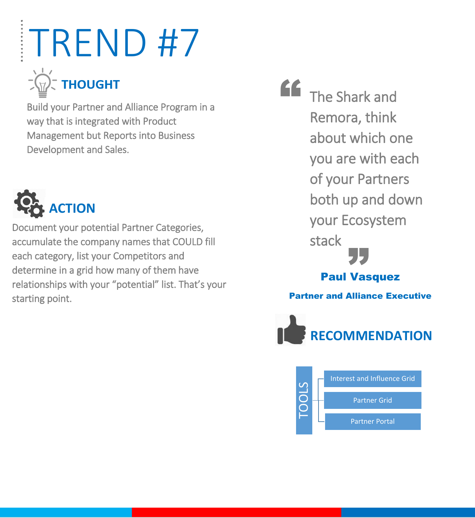### $\vec{z}$  THOUGHT

Build your Partner and Alliance Program in a way that is integrated with Product Management but Reports into Business Development and Sales.



Document your potential Partner Categories, accumulate the company names that COULD fill each category, list your Competitors and determine in a grid how many of them have relationships with your "potential" list. That's your starting point.

**"** The Shark and Remora, think about which one you are with each of your Partners both up and down your Ecosystem stack auk<br>Paul Vasquez Partner and Alliance Executive



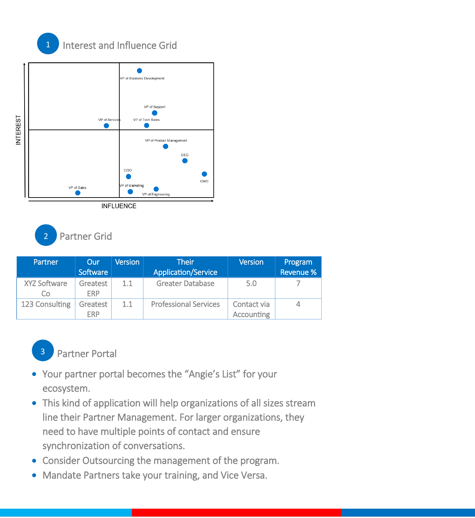





| Partner                   | Our                    | <b>Version</b> | <b>Their</b>                 | <b>Version</b>                   | Program          |
|---------------------------|------------------------|----------------|------------------------------|----------------------------------|------------------|
|                           | Software               |                | <b>Application/Service</b>   |                                  | <b>Revenue %</b> |
| <b>XYZ Software</b><br>Co | Greatest<br><b>ERP</b> | 1.1            | <b>Greater Database</b>      | 5.0                              |                  |
| 123 Consulting            | Greatest<br><b>ERP</b> | 1.1            | <b>Professional Services</b> | Contact via<br><b>Accounting</b> |                  |



- Your partner portal becomes the "Angie's List" for your ecosystem.
- This kind of application will help organizations of all sizes stream line their Partner Management. For larger organizations, they need to have multiple points of contact and ensure synchronization of conversations.
- Consider Outsourcing the management of the program.
- Mandate Partners take your training, and Vice Versa.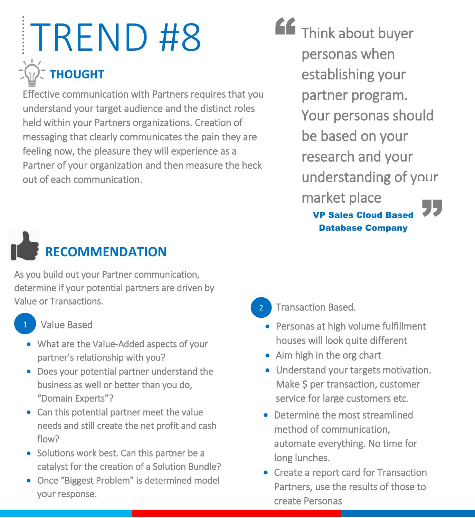### TREND #8 **THOUGHT**

Effective communication with Partners requires that you understand your target audience and the distinct roles held within your Partners organizations. Creation of messaging that clearly communicates the pain they are feeling now, the pleasure they will experience as a Partner of your organization and then measure the heck out of each communication.

### **RECOMMENDATION**

As you build out your Partner communication, determine if your potential partners are driven by Value or Transactions.



#### Value Based

- What are the Value-Added aspects of your partner's relationship with you?
- Does your potential partner understand the business as well or better than you do, "Domain Experts"?
- Can this potential partner meet the value needs and still create the net profit and cash flow?
- Solutions work best. Can this partner be a catalyst for the creation of a Solution Bundle?
- Once "Biggest Problem" is determined model your response.

**AC** Think about buyer personas when establishing your partner program. Your personas should be based on your research and your understanding of your market place "<br>"<br>"

#### **VP Sales Cloud Based** Database Company

- Transaction Based. 2
	- Personas at high volume fulfillment houses will look quite different
	- Aim high in the org chart
	- Understand your targets motivation. Make \$ per transaction, customer service for large customers etc.
	- Determine the most streamlined method of communication, automate everything. No time for long lunches.
	- Create a report card for Transaction Partners, use the results of those to create Personas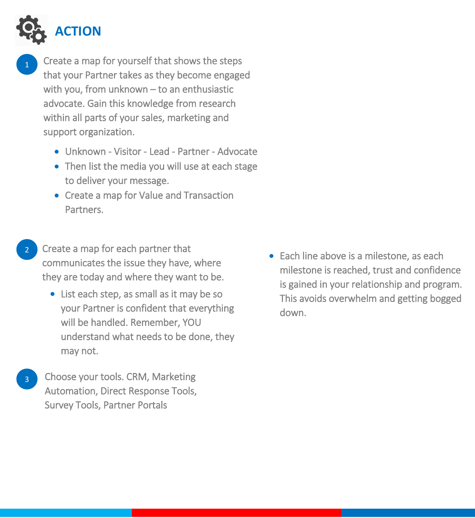

- 1 Create a map for yourself that shows the steps that your Partner takes as they become engaged with you, from unknown – to an enthusiastic advocate. Gain this knowledge from research within all parts of your sales, marketing and support organization.
	- Unknown Visitor Lead Partner Advocate
	- Then list the media you will use at each stage to deliver your message.
	- Create a map for Value and Transaction Partners.
- Create a map for each partner that communicates the issue they have, where they are today and where they want to be.
	- List each step, as small as it may be so your Partner is confident that everything will be handled. Remember, YOU understand what needs to be done, they may not.
	- <sup>3</sup> Choose your tools. CRM, Marketing Automation, Direct Response Tools, Survey Tools, Partner Portals

• Each line above is a milestone, as each milestone is reached, trust and confidence is gained in your relationship and program. This avoids overwhelm and getting bogged down.